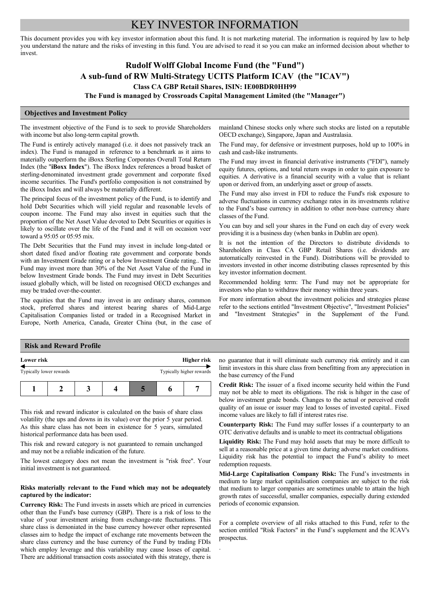# KEY INVESTOR INFORMATION

This document provides you with key investor information about this fund. It is not marketing material. The information is required by law to help you understand the nature and the risks of investing in this fund. You are advised to read it so you can make an informed decision about whether to invest.

# **Rudolf Wolff Global Income Fund (the "Fund") A sub-fund of RW Multi-Strategy UCITS Platform ICAV (the "ICAV") Class CA GBP Retail Shares, ISIN: IE00BDR0HH99**

**The Fund is managed by Crossroads Capital Management Limited (the "Manager")**

.

### **Objectives and Investment Policy**

The investment objective of the Fund is to seek to provide Shareholders with income but also long-term capital growth.

The Fund is entirely actively managed (i.e. it does not passively track an index). The Fund is managed in reference to a benchmark as it aims to materially outperform the iBoxx Sterling Corporates Overall Total Return Index (the "**iBoxx Index**"). The iBoxx Index references a broad basket of sterling-denominated investment grade government and corporate fixed income securities. The Fund's portfolio composition is not constrained by the iBoxx Index and will always be materially different.

The principal focus of the investment policy of the Fund, is to identify and hold Debt Securities which will yield regular and reasonable levels of coupon income. The Fund may also invest in equities such that the proportion of the Net Asset Value devoted to Debt Securities or equities is likely to oscillate over the life of the Fund and it will on occasion veer toward a 95:05 or 05:95 mix.

The Debt Securities that the Fund may invest in include long-dated or short dated fixed and/or floating rate government and corporate bonds with an Investment Grade rating or a below Investment Grade rating.. The Fund may invest more than 30% of the Net Asset Value of the Fund in below Investment Grade bonds. The Fund may invest in Debt Securities issued globally which, will be listed on recognised OECD exchanges and may be traded over-the-counter.

The equities that the Fund may invest in are ordinary shares, common stock, preferred shares and interest bearing shares of Mid-Large Capitalisation Companies listed or traded in a Recognised Market in Europe, North America, Canada, Greater China (but, in the case of mainland Chinese stocks only where such stocks are listed on a reputable OECD exchange), Singapore, Japan and Australasia.

The Fund may, for defensive or investment purposes, hold up to 100% in cash and cash-like instruments.

The Fund may invest in financial derivative instruments ("FDI"), namely equity futures, options, and total return swaps in order to gain exposure to equities. A derivative is a financial security with a value that is reliant upon or derived from, an underlying asset or group of assets.

The Fund may also invest in FDI to reduce the Fund's risk exposure to adverse fluctuations in currency exchange rates in its investments relative to the Fund's base currency in addition to other non-base currency share classes of the Fund.

You can buy and sell your shares in the Fund on each day of every week providing it is a business day (when banks in Dublin are open).

It is not the intention of the Directors to distribute dividends to Shareholders in Class CA GBP Retail Shares (i.e. dividends are automatically reinvested in the Fund). Distributions will be provided to investors invested in other income distributing classes represented by this key investor information docment.

Recommended holding term: The Fund may not be appropriate for investors who plan to withdraw their money within three years.

For more information about the investment policies and strategies please refer to the sections entitled "Investment Objective", "Investment Policies" and "Investment Strategies" in the Supplement of the Fund.

## **Risk and Reward Profile**

| Lower risk              |  | Higher risk |  |                          |
|-------------------------|--|-------------|--|--------------------------|
| Typically lower rewards |  |             |  | Typically higher rewards |
|                         |  |             |  |                          |

This risk and reward indicator is calculated on the basis of share class volatility (the ups and downs in its value) over the prior 5 year period. As this share class has not been in existence for 5 years, simulated historical performance data has been used.

This risk and reward category is not guaranteed to remain unchanged and may not be a reliable indication of the future.

The lowest category does not mean the investment is "risk free". Your initial investment is not guaranteed.

### **Risks materially relevant to the Fund which may not be adequately captured by the indicator:**

**Currency Risk:** The Fund invests in assets which are priced in currencies other than the Fund's base currency (GBP). There is a risk of loss to the value of your investment arising from exchange-rate fluctuations. This share class is demoniated in the base currency however other represented classes aim to hedge the impact of exchange rate movements between the share class currency and the base currency of the Fund by trading FDIs which employ leverage and this variability may cause losses of capital. There are additional transaction costs associated with this strategy, there is

no guarantee that it will eliminate such currency risk entirely and it can limit investors in this share class from benefitting from any appreciation in the base currency of the Fund

**Credit Risk:** The issuer of a fixed income security held within the Fund may not be able to meet its obligations. The risk is hihger in the case of below investment grade bonds. Changes to the actual or perceived credit quality of an issue or issuer may lead to losses of invested capital.. Fixed income values are likely to fall if interest rates rise.

**Counterparty Risk:** The Fund may suffer losses if a counterparty to an OTC derivative defaults and is unable to meet its contractual obligations

**Liquidity Risk:** The Fund may hold assets that may be more difficult to sell at a reasonable price at a given time during adverse market conditions. Liquidity risk has the potential to impact the Fund's ability to meet redemption requests.

**Mid-Large Capitalisation Company Risk:** The Fund's investments in medium to large market capitalisation companies are subject to the risk that medium to larger companies are sometimes unable to attain the high growth rates of successful, smaller companies, especially during extended periods of economic expansion.

For a complete overview of all risks attached to this Fund, refer to the section entitled "Risk Factors" in the Fund's supplement and the ICAV's prospectus.